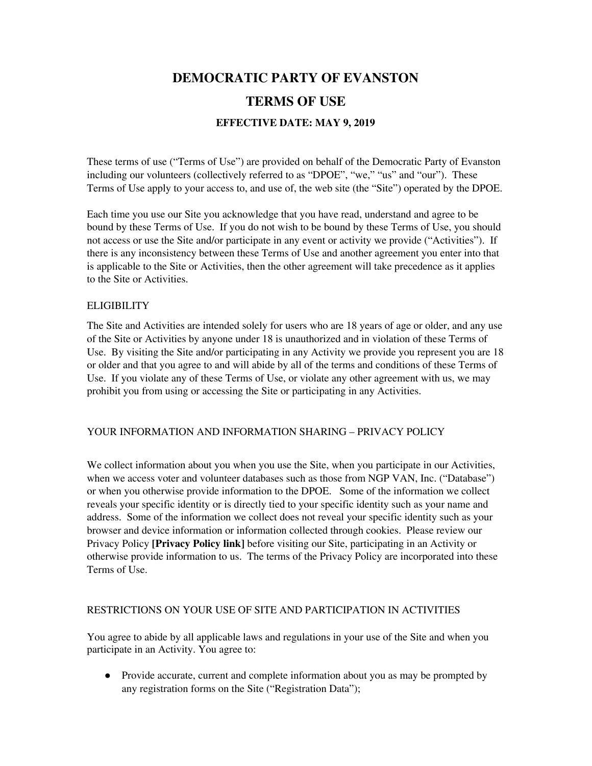# **DEMOCRATIC PARTY OF EVANSTON TERMS OF USE EFFECTIVE DATE: MAY 9, 2019**

These terms of use ("Terms of Use") are provided on behalf of the Democratic Party of Evanston including our volunteers (collectively referred to as "DPOE", "we," "us" and "our"). These Terms of Use apply to your access to, and use of, the web site (the "Site") operated by the DPOE.

Each time you use our Site you acknowledge that you have read, understand and agree to be bound by these Terms of Use. If you do not wish to be bound by these Terms of Use, you should not access or use the Site and/or participate in any event or activity we provide ("Activities"). If there is any inconsistency between these Terms of Use and another agreement you enter into that is applicable to the Site or Activities, then the other agreement will take precedence as it applies to the Site or Activities.

## ELIGIBILITY

The Site and Activities are intended solely for users who are 18 years of age or older, and any use of the Site or Activities by anyone under 18 is unauthorized and in violation of these Terms of Use. By visiting the Site and/or participating in any Activity we provide you represent you are 18 or older and that you agree to and will abide by all of the terms and conditions of these Terms of Use. If you violate any of these Terms of Use, or violate any other agreement with us, we may prohibit you from using or accessing the Site or participating in any Activities.

# YOUR INFORMATION AND INFORMATION SHARING – PRIVACY POLICY

We collect information about you when you use the Site, when you participate in our Activities, when we access voter and volunteer databases such as those from NGP VAN, Inc. ("Database") or when you otherwise provide information to the DPOE. Some of the information we collect reveals your specific identity or is directly tied to your specific identity such as your name and address. Some of the information we collect does not reveal your specific identity such as your browser and device information or information collected through cookies. Please review our Privacy Policy **[Privacy Policy link]** before visiting our Site, participating in an Activity or otherwise provide information to us. The terms of the Privacy Policy are incorporated into these Terms of Use.

## RESTRICTIONS ON YOUR USE OF SITE AND PARTICIPATION IN ACTIVITIES

You agree to abide by all applicable laws and regulations in your use of the Site and when you participate in an Activity. You agree to:

● Provide accurate, current and complete information about you as may be prompted by any registration forms on the Site ("Registration Data");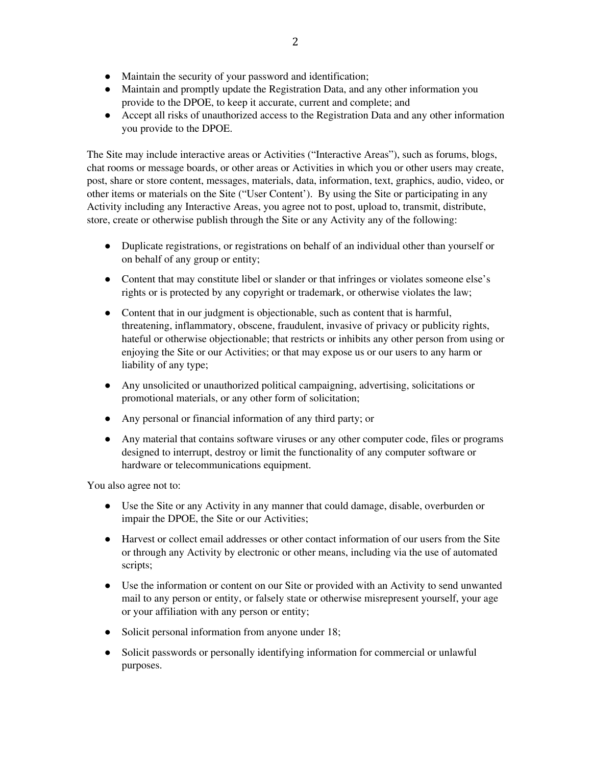- Maintain the security of your password and identification;
- Maintain and promptly update the Registration Data, and any other information you provide to the DPOE, to keep it accurate, current and complete; and
- Accept all risks of unauthorized access to the Registration Data and any other information you provide to the DPOE.

The Site may include interactive areas or Activities ("Interactive Areas"), such as forums, blogs, chat rooms or message boards, or other areas or Activities in which you or other users may create, post, share or store content, messages, materials, data, information, text, graphics, audio, video, or other items or materials on the Site ("User Content'). By using the Site or participating in any Activity including any Interactive Areas, you agree not to post, upload to, transmit, distribute, store, create or otherwise publish through the Site or any Activity any of the following:

- Duplicate registrations, or registrations on behalf of an individual other than yourself or on behalf of any group or entity;
- Content that may constitute libel or slander or that infringes or violates someone else's rights or is protected by any copyright or trademark, or otherwise violates the law;
- Content that in our judgment is objectionable, such as content that is harmful, threatening, inflammatory, obscene, fraudulent, invasive of privacy or publicity rights, hateful or otherwise objectionable; that restricts or inhibits any other person from using or enjoying the Site or our Activities; or that may expose us or our users to any harm or liability of any type;
- Any unsolicited or unauthorized political campaigning, advertising, solicitations or promotional materials, or any other form of solicitation;
- Any personal or financial information of any third party; or
- Any material that contains software viruses or any other computer code, files or programs designed to interrupt, destroy or limit the functionality of any computer software or hardware or telecommunications equipment.

You also agree not to:

- Use the Site or any Activity in any manner that could damage, disable, overburden or impair the DPOE, the Site or our Activities;
- Harvest or collect email addresses or other contact information of our users from the Site or through any Activity by electronic or other means, including via the use of automated scripts;
- Use the information or content on our Site or provided with an Activity to send unwanted mail to any person or entity, or falsely state or otherwise misrepresent yourself, your age or your affiliation with any person or entity;
- Solicit personal information from anyone under 18;
- Solicit passwords or personally identifying information for commercial or unlawful purposes.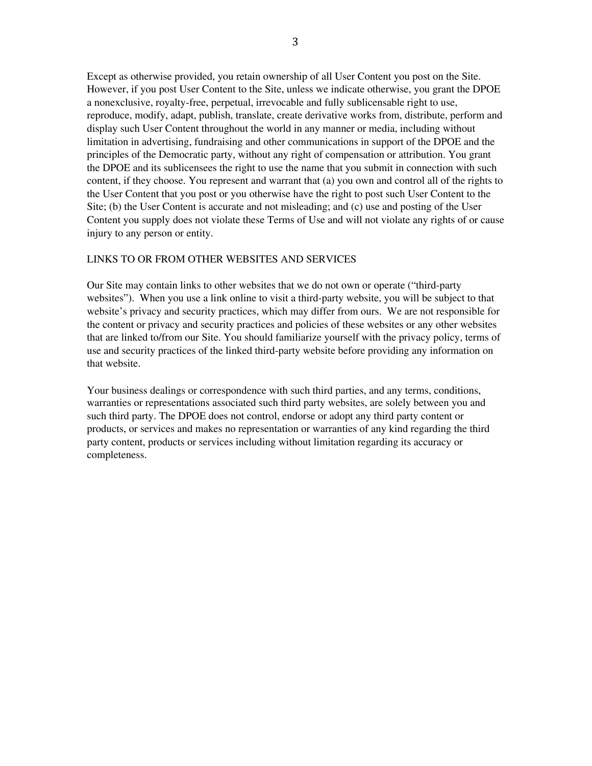Except as otherwise provided, you retain ownership of all User Content you post on the Site. However, if you post User Content to the Site, unless we indicate otherwise, you grant the DPOE a nonexclusive, royalty-free, perpetual, irrevocable and fully sublicensable right to use, reproduce, modify, adapt, publish, translate, create derivative works from, distribute, perform and display such User Content throughout the world in any manner or media, including without limitation in advertising, fundraising and other communications in support of the DPOE and the principles of the Democratic party, without any right of compensation or attribution. You grant the DPOE and its sublicensees the right to use the name that you submit in connection with such content, if they choose. You represent and warrant that (a) you own and control all of the rights to the User Content that you post or you otherwise have the right to post such User Content to the Site; (b) the User Content is accurate and not misleading; and (c) use and posting of the User Content you supply does not violate these Terms of Use and will not violate any rights of or cause injury to any person or entity.

#### LINKS TO OR FROM OTHER WEBSITES AND SERVICES

Our Site may contain links to other websites that we do not own or operate ("third-party websites"). When you use a link online to visit a third-party website, you will be subject to that website's privacy and security practices, which may differ from ours. We are not responsible for the content or privacy and security practices and policies of these websites or any other websites that are linked to/from our Site. You should familiarize yourself with the privacy policy, terms of use and security practices of the linked third-party website before providing any information on that website.

Your business dealings or correspondence with such third parties, and any terms, conditions, warranties or representations associated such third party websites, are solely between you and such third party. The DPOE does not control, endorse or adopt any third party content or products, or services and makes no representation or warranties of any kind regarding the third party content, products or services including without limitation regarding its accuracy or completeness.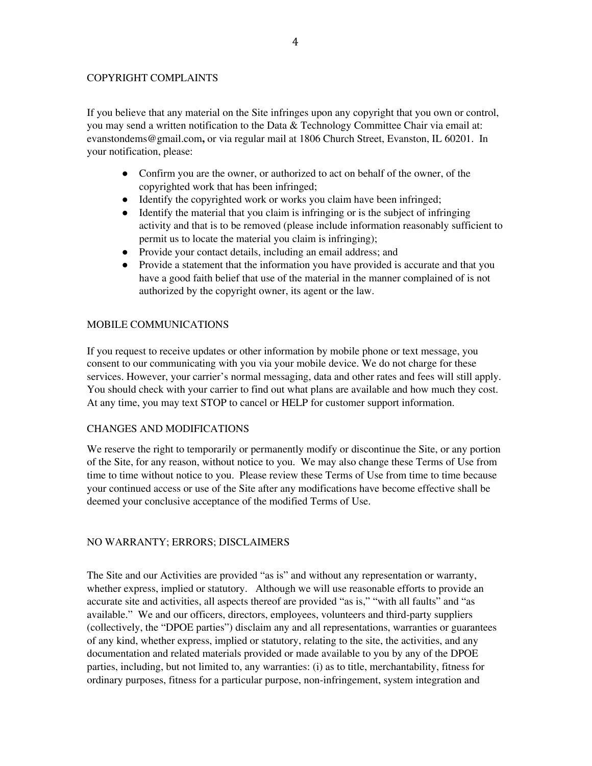## COPYRIGHT COMPLAINTS

If you believe that any material on the Site infringes upon any copyright that you own or control, you may send a written notification to the Data & Technology Committee Chair via email at: evanstondems@gmail.com**,** or via regular mail at 1806 Church Street, Evanston, IL 60201. In your notification, please:

- Confirm you are the owner, or authorized to act on behalf of the owner, of the copyrighted work that has been infringed;
- Identify the copyrighted work or works you claim have been infringed;
- Identify the material that you claim is infringing or is the subject of infringing activity and that is to be removed (please include information reasonably sufficient to permit us to locate the material you claim is infringing);
- Provide your contact details, including an email address; and
- Provide a statement that the information you have provided is accurate and that you have a good faith belief that use of the material in the manner complained of is not authorized by the copyright owner, its agent or the law.

# MOBILE COMMUNICATIONS

If you request to receive updates or other information by mobile phone or text message, you consent to our communicating with you via your mobile device. We do not charge for these services. However, your carrier's normal messaging, data and other rates and fees will still apply. You should check with your carrier to find out what plans are available and how much they cost. At any time, you may text STOP to cancel or HELP for customer support information.

# CHANGES AND MODIFICATIONS

We reserve the right to temporarily or permanently modify or discontinue the Site, or any portion of the Site, for any reason, without notice to you. We may also change these Terms of Use from time to time without notice to you. Please review these Terms of Use from time to time because your continued access or use of the Site after any modifications have become effective shall be deemed your conclusive acceptance of the modified Terms of Use.

# NO WARRANTY; ERRORS; DISCLAIMERS

The Site and our Activities are provided "as is" and without any representation or warranty, whether express, implied or statutory. Although we will use reasonable efforts to provide an accurate site and activities, all aspects thereof are provided "as is," "with all faults" and "as available." We and our officers, directors, employees, volunteers and third-party suppliers (collectively, the "DPOE parties") disclaim any and all representations, warranties or guarantees of any kind, whether express, implied or statutory, relating to the site, the activities, and any documentation and related materials provided or made available to you by any of the DPOE parties, including, but not limited to, any warranties: (i) as to title, merchantability, fitness for ordinary purposes, fitness for a particular purpose, non-infringement, system integration and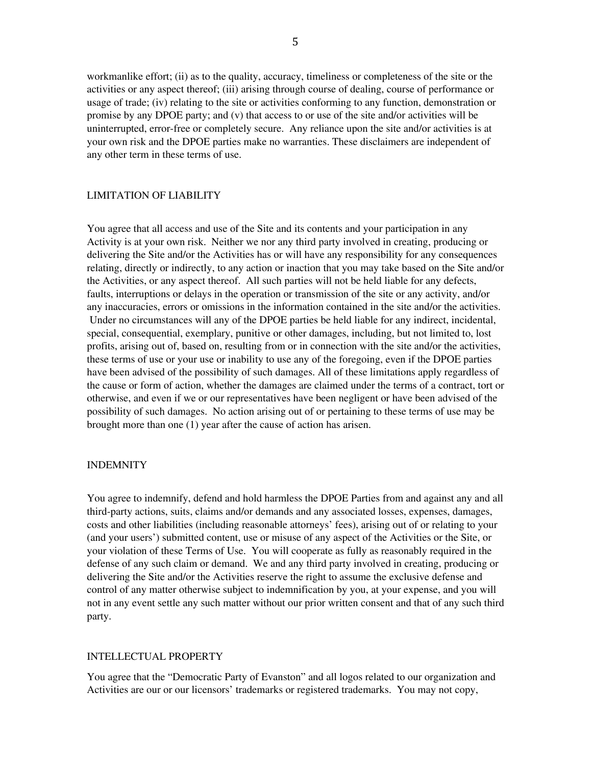workmanlike effort; (ii) as to the quality, accuracy, timeliness or completeness of the site or the activities or any aspect thereof; (iii) arising through course of dealing, course of performance or usage of trade; (iv) relating to the site or activities conforming to any function, demonstration or promise by any DPOE party; and (v) that access to or use of the site and/or activities will be uninterrupted, error-free or completely secure. Any reliance upon the site and/or activities is at your own risk and the DPOE parties make no warranties. These disclaimers are independent of any other term in these terms of use.

#### LIMITATION OF LIABILITY

You agree that all access and use of the Site and its contents and your participation in any Activity is at your own risk. Neither we nor any third party involved in creating, producing or delivering the Site and/or the Activities has or will have any responsibility for any consequences relating, directly or indirectly, to any action or inaction that you may take based on the Site and/or the Activities, or any aspect thereof. All such parties will not be held liable for any defects, faults, interruptions or delays in the operation or transmission of the site or any activity, and/or any inaccuracies, errors or omissions in the information contained in the site and/or the activities. Under no circumstances will any of the DPOE parties be held liable for any indirect, incidental, special, consequential, exemplary, punitive or other damages, including, but not limited to, lost profits, arising out of, based on, resulting from or in connection with the site and/or the activities, these terms of use or your use or inability to use any of the foregoing, even if the DPOE parties have been advised of the possibility of such damages. All of these limitations apply regardless of the cause or form of action, whether the damages are claimed under the terms of a contract, tort or otherwise, and even if we or our representatives have been negligent or have been advised of the possibility of such damages. No action arising out of or pertaining to these terms of use may be brought more than one (1) year after the cause of action has arisen.

#### INDEMNITY

You agree to indemnify, defend and hold harmless the DPOE Parties from and against any and all third-party actions, suits, claims and/or demands and any associated losses, expenses, damages, costs and other liabilities (including reasonable attorneys' fees), arising out of or relating to your (and your users') submitted content, use or misuse of any aspect of the Activities or the Site, or your violation of these Terms of Use. You will cooperate as fully as reasonably required in the defense of any such claim or demand. We and any third party involved in creating, producing or delivering the Site and/or the Activities reserve the right to assume the exclusive defense and control of any matter otherwise subject to indemnification by you, at your expense, and you will not in any event settle any such matter without our prior written consent and that of any such third party.

#### INTELLECTUAL PROPERTY

You agree that the "Democratic Party of Evanston" and all logos related to our organization and Activities are our or our licensors' trademarks or registered trademarks. You may not copy,